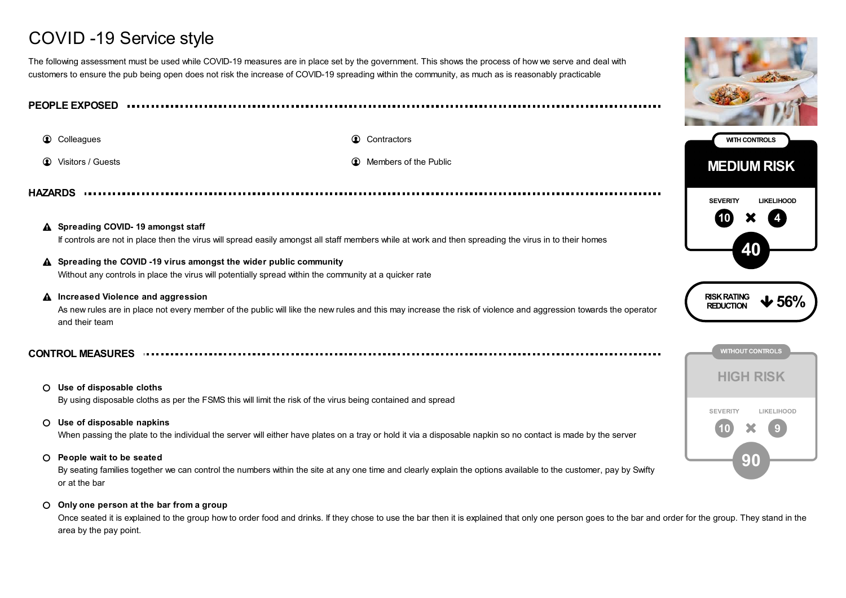# COVID -19 Service style

The following assessment must be used while COVID-19 measures are in place set by the government. This shows the process of how we serve and deal with customers to ensure the pub being open does not risk the increase of COVID-19 spreading within the community, as much as is reasonably practicable

**PEOPLE EXPOSED**

**Colleagues Contractors Contractors Contractors** 

- 
- **1** Visitors / Guests **Members of the Public Members of the Public**

**HAZARDS**

## **Spreading COVID- 19 amongst staff** If controls are not in place then the virus will spread easily amongst all staff members while at work and then spreading the virus in to their homes

# **Spreading the COVID -19 virus amongst the wider public community**

Without any controls in place the virus will potentially spread within the community at a quicker rate

**Increased Violence and aggression**  $\blacktriangle$ 

As new rules are in place not every member of the public will like the new rules and this may increase the risk of violence and aggression towards the operator and their team

**CONTROL MEASURES**

- **Use of disposable cloths** By using disposable cloths as per the FSMS this will limit the risk of the virus being contained and spread
- **Use of disposable napkins**

When passing the plate to the individual the server will either have plates on a tray or hold it via a disposable napkin so no contact is made by the server

**People wait to be seated**

By seating families together we can control the numbers within the site at any one time and clearly explain the options available to the customer, pay by Swifty or at the bar

#### **Only one person at the bar from a group**

Once seated it is explained to the group how to order food and drinks. If they chose to use the bar then it is explained that only one person goes to the bar and order for the group. They stand in the area by the pay point.